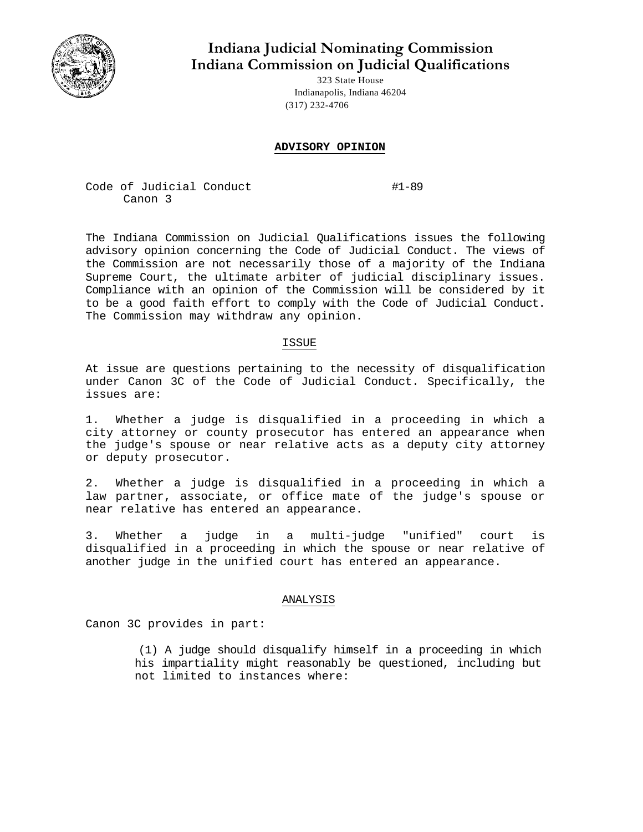

# **Indiana Judicial Nominating Commission Indiana Commission on Judicial Qualifications**

323 State House Indianapolis, Indiana 46204 (317) 232-4706

## **ADVISORY OPINION**

Code of Judicial Conduct #1-89 Canon 3

The Indiana Commission on Judicial Qualifications issues the following advisory opinion concerning the Code of Judicial Conduct. The views of the Commission are not necessarily those of a majority of the Indiana Supreme Court, the ultimate arbiter of judicial disciplinary issues. Compliance with an opinion of the Commission will be considered by it to be a good faith effort to comply with the Code of Judicial Conduct. The Commission may withdraw any opinion.

#### ISSUE

At issue are questions pertaining to the necessity of disqualification under Canon 3C of the Code of Judicial Conduct. Specifically, the issues are:

1. Whether a judge is disqualified in a proceeding in which a city attorney or county prosecutor has entered an appearance when the judge's spouse or near relative acts as a deputy city attorney or deputy prosecutor.

2. Whether a judge is disqualified in a proceeding in which a law partner, associate, or office mate of the judge's spouse or near relative has entered an appearance.

3. Whether a judge in a multi-judge "unified" court is disqualified in a proceeding in which the spouse or near relative of another judge in the unified court has entered an appearance.

#### ANALYSIS

Canon 3C provides in part:

(1) A judge should disqualify himself in a proceeding in which his impartiality might reasonably be questioned, including but not limited to instances where: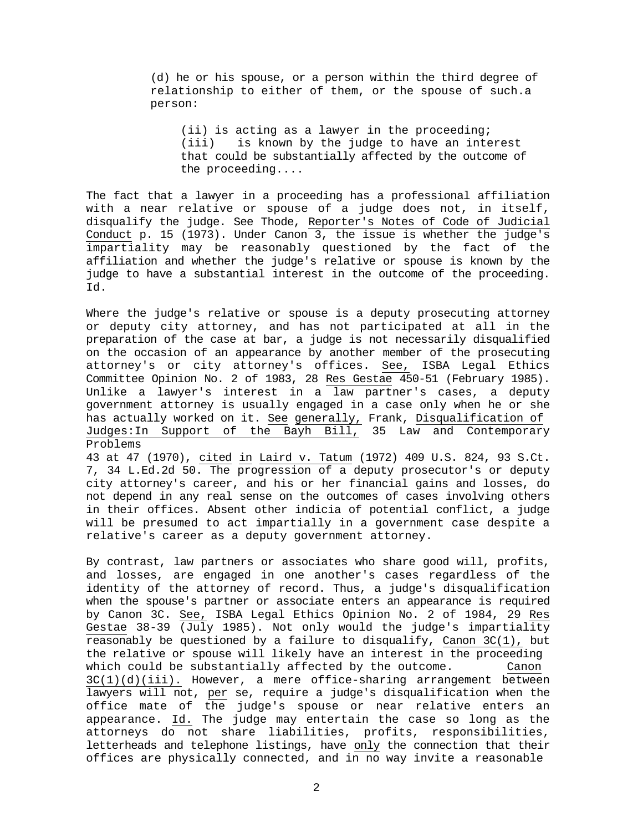(d) he or his spouse, or a person within the third degree of relationship to either of them, or the spouse of such.a person:

(ii) is acting as a lawyer in the proceeding; (iii) is known by the judge to have an interest that could be substantially affected by the outcome of the proceeding....

The fact that a lawyer in a proceeding has a professional affiliation with a near relative or spouse of a judge does not, in itself, disqualify the judge. See Thode, Reporter's Notes of Code of Judicial Conduct p. 15 (1973). Under Canon  $3$ , the issue is whether the judge's impartiality may be reasonably questioned by the fact of the affiliation and whether the judge's relative or spouse is known by the judge to have a substantial interest in the outcome of the proceeding. Id.

Where the judge's relative or spouse is a deputy prosecuting attorney or deputy city attorney, and has not participated at all in the preparation of the case at bar, a judge is not necessarily disqualified on the occasion of an appearance by another member of the prosecuting attorney's or city attorney's offices. See, ISBA Legal Ethics Committee Opinion No. 2 of 1983, 28 Res Gestae 450-51 (February 1985). Unlike a lawyer's interest in a law partner's cases, a deputy government attorney is usually engaged in a case only when he or she has actually worked on it. See generally, Frank, Disqualification of Judges:In Support of the Bayh Bill, 35 Law and Contemporary Problems

43 at 47 (1970), cited in Laird v. Tatum (1972) 409 U.S. 824, 93 S.Ct. 7, 34 L.Ed.2d 50. The progression of a deputy prosecutor's or deputy city attorney's career, and his or her financial gains and losses, do not depend in any real sense on the outcomes of cases involving others in their offices. Absent other indicia of potential conflict, a judge will be presumed to act impartially in a government case despite a relative's career as a deputy government attorney.

By contrast, law partners or associates who share good will, profits, and losses, are engaged in one another's cases regardless of the identity of the attorney of record. Thus, a judge's disqualification when the spouse's partner or associate enters an appearance is required by Canon 3C. See, ISBA Legal Ethics Opinion No. 2 of 1984, 29 Res Gestae 38-39 (July 1985). Not only would the judge's impartiality reasonably be questioned by a failure to disqualify, Canon  $3C(1)$ , but the relative or spouse will likely have an interest in the proceeding which could be substantially affected by the outcome. Canon 3C(1)(d)(iii). However, a mere office-sharing arrangement between lawyers will not, per se, require a judge's disqualification when the office mate of the judge's spouse or near relative enters an appearance. Id. The judge may entertain the case so long as the attorneys do not share liabilities, profits, responsibilities, letterheads and telephone listings, have only the connection that their offices are physically connected, and in no way invite a reasonable